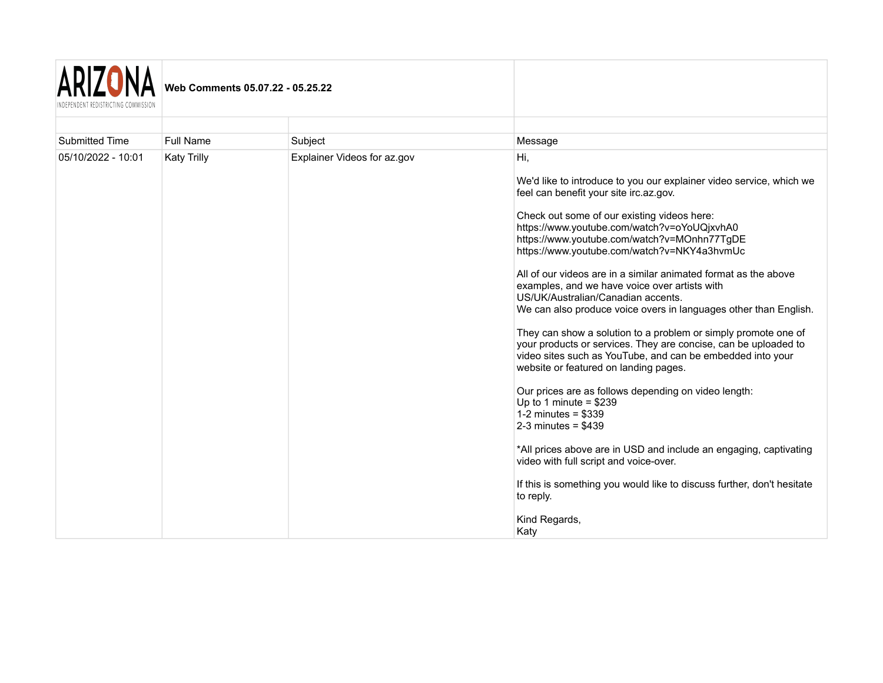

| Submitted Time     | Full Name          | Subject                     | Message                                                                                                                                                                                                                                                                                                                                                                                                                                                                                                                                                                                                                                                                                                                                                                                                                                                                                                                                                                                                                                                                                                                                                      |
|--------------------|--------------------|-----------------------------|--------------------------------------------------------------------------------------------------------------------------------------------------------------------------------------------------------------------------------------------------------------------------------------------------------------------------------------------------------------------------------------------------------------------------------------------------------------------------------------------------------------------------------------------------------------------------------------------------------------------------------------------------------------------------------------------------------------------------------------------------------------------------------------------------------------------------------------------------------------------------------------------------------------------------------------------------------------------------------------------------------------------------------------------------------------------------------------------------------------------------------------------------------------|
| 05/10/2022 - 10:01 | <b>Katy Trilly</b> | Explainer Videos for az.gov | Hi,<br>We'd like to introduce to you our explainer video service, which we<br>feel can benefit your site irc.az.gov.<br>Check out some of our existing videos here:<br>https://www.youtube.com/watch?v=oYoUQjxvhA0<br>https://www.youtube.com/watch?v=MOnhn77TgDE<br>https://www.youtube.com/watch?v=NKY4a3hvmUc<br>All of our videos are in a similar animated format as the above<br>examples, and we have voice over artists with<br>US/UK/Australian/Canadian accents.<br>We can also produce voice overs in languages other than English.<br>They can show a solution to a problem or simply promote one of<br>your products or services. They are concise, can be uploaded to<br>video sites such as YouTube, and can be embedded into your<br>website or featured on landing pages.<br>Our prices are as follows depending on video length:<br>Up to 1 minute = $$239$<br>1-2 minutes = $$339$<br>2-3 minutes = $$439$<br>*All prices above are in USD and include an engaging, captivating<br>video with full script and voice-over.<br>If this is something you would like to discuss further, don't hesitate<br>to reply.<br>Kind Regards,<br>Katy |